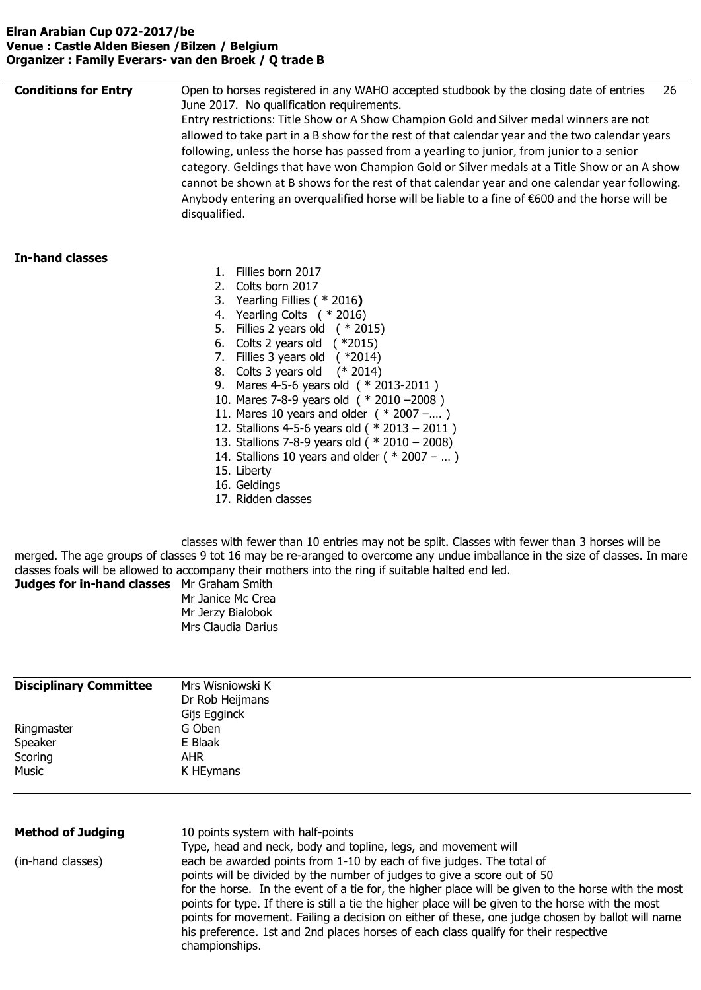#### **Elran Arabian Cup 072-2017/be Venue : Castle Alden Biesen /Bilzen / Belgium Organizer : Family Everars- van den Broek / Q trade B**

| <b>Conditions for Entry</b> | Open to horses registered in any WAHO accepted studbook by the closing date of entries<br>26<br>June 2017. No qualification requirements.<br>Entry restrictions: Title Show or A Show Champion Gold and Silver medal winners are not<br>allowed to take part in a B show for the rest of that calendar year and the two calendar years<br>following, unless the horse has passed from a yearling to junior, from junior to a senior<br>category. Geldings that have won Champion Gold or Silver medals at a Title Show or an A show<br>cannot be shown at B shows for the rest of that calendar year and one calendar year following.<br>Anybody entering an overqualified horse will be liable to a fine of €600 and the horse will be<br>disqualified. |
|-----------------------------|----------------------------------------------------------------------------------------------------------------------------------------------------------------------------------------------------------------------------------------------------------------------------------------------------------------------------------------------------------------------------------------------------------------------------------------------------------------------------------------------------------------------------------------------------------------------------------------------------------------------------------------------------------------------------------------------------------------------------------------------------------|
| <b>In-hand classes</b>      | Fillies born 2017<br>$1_{\cdot}$<br>2. Colts born 2017<br>3. Yearling Fillies $(* 2016)$<br>4. Yearling Colts ( * 2016)<br>5. Fillies 2 years old $(* 2015)$<br>6. Colts 2 years old $(*2015)$<br>7. Fillies 3 years old $(*2014)$<br>8. Colts 3 years old (* 2014)<br>9. Mares 4-5-6 years old ( * 2013-2011 )<br>10. Mares 7-8-9 years old ( * 2010 -2008)<br>11. Mares 10 years and older $(* 2007 -)$<br>12. Stallions 4-5-6 years old ( $*$ 2013 – 2011)<br>13. Stallions 7-8-9 years old ( $*$ 2010 – 2008)<br>14. Stallions 10 years and older ( $*$ 2007 – )<br>15. Liberty<br>16. Geldings<br>17. Ridden classes<br>classes with fewer than 10 entries may not be split. Classes with fewer than 3 horses will be                               |

merged. The age groups of classes 9 tot 16 may be re-aranged to overcome any undue imballance in the size of classes. In mare classes foals will be allowed to accompany their mothers into the ring if suitable halted end led.

**Judges for in-hand classes** Mr Graham Smith Mr Janice Mc Crea Mr Jerzy Bialobok

Mrs Claudia Darius

| <b>Disciplinary Committee</b> | Mrs Wisniowski K |
|-------------------------------|------------------|
|                               | Dr Rob Heijmans  |
|                               | Gijs Egginck     |
| Ringmaster                    | G Oben           |
| Speaker                       | E Blaak          |
| Scoring                       | <b>AHR</b>       |
| Music                         | K HEymans        |
|                               |                  |
|                               |                  |
|                               |                  |

| <b>Method of Judging</b> | 10 points system with half-points                                                                                                                                                                                                                                                                                                                                                                                                                                                                                                                                                                                                              |  |
|--------------------------|------------------------------------------------------------------------------------------------------------------------------------------------------------------------------------------------------------------------------------------------------------------------------------------------------------------------------------------------------------------------------------------------------------------------------------------------------------------------------------------------------------------------------------------------------------------------------------------------------------------------------------------------|--|
| (in-hand classes)        | Type, head and neck, body and topline, legs, and movement will<br>each be awarded points from 1-10 by each of five judges. The total of<br>points will be divided by the number of judges to give a score out of 50<br>for the horse. In the event of a tie for, the higher place will be given to the horse with the most<br>points for type. If there is still a tie the higher place will be given to the horse with the most<br>points for movement. Failing a decision on either of these, one judge chosen by ballot will name<br>his preference. 1st and 2nd places horses of each class qualify for their respective<br>championships. |  |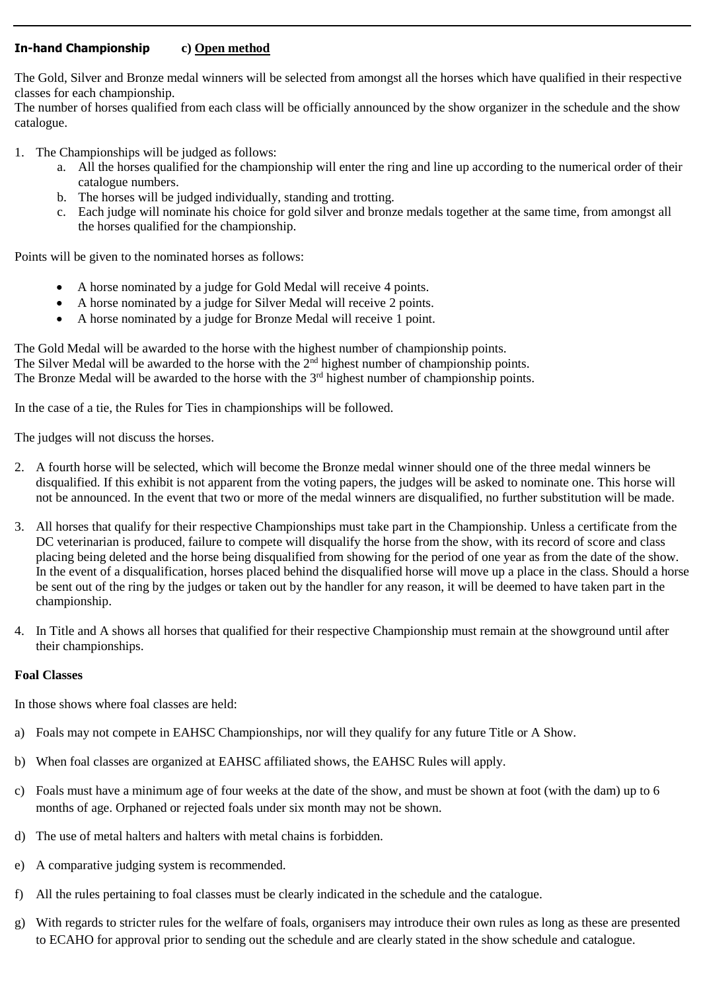#### **In-hand Championship c) Open method**

The Gold, Silver and Bronze medal winners will be selected from amongst all the horses which have qualified in their respective classes for each championship.

The number of horses qualified from each class will be officially announced by the show organizer in the schedule and the show catalogue.

- 1. The Championships will be judged as follows:
	- a. All the horses qualified for the championship will enter the ring and line up according to the numerical order of their catalogue numbers.
	- b. The horses will be judged individually, standing and trotting.
	- c. Each judge will nominate his choice for gold silver and bronze medals together at the same time, from amongst all the horses qualified for the championship.

Points will be given to the nominated horses as follows:

- A horse nominated by a judge for Gold Medal will receive 4 points.
- A horse nominated by a judge for Silver Medal will receive 2 points.
- A horse nominated by a judge for Bronze Medal will receive 1 point.

The Gold Medal will be awarded to the horse with the highest number of championship points. The Silver Medal will be awarded to the horse with the 2<sup>nd</sup> highest number of championship points. The Bronze Medal will be awarded to the horse with the  $3<sup>rd</sup>$  highest number of championship points.

In the case of a tie, the Rules for Ties in championships will be followed.

The judges will not discuss the horses.

- 2. A fourth horse will be selected, which will become the Bronze medal winner should one of the three medal winners be disqualified. If this exhibit is not apparent from the voting papers, the judges will be asked to nominate one. This horse will not be announced. In the event that two or more of the medal winners are disqualified, no further substitution will be made.
- 3. All horses that qualify for their respective Championships must take part in the Championship. Unless a certificate from the DC veterinarian is produced, failure to compete will disqualify the horse from the show, with its record of score and class placing being deleted and the horse being disqualified from showing for the period of one year as from the date of the show. In the event of a disqualification, horses placed behind the disqualified horse will move up a place in the class. Should a horse be sent out of the ring by the judges or taken out by the handler for any reason, it will be deemed to have taken part in the championship.
- 4. In Title and A shows all horses that qualified for their respective Championship must remain at the showground until after their championships.

#### **Foal Classes**

In those shows where foal classes are held:

- a) Foals may not compete in EAHSC Championships, nor will they qualify for any future Title or A Show.
- b) When foal classes are organized at EAHSC affiliated shows, the EAHSC Rules will apply.
- c) Foals must have a minimum age of four weeks at the date of the show, and must be shown at foot (with the dam) up to 6 months of age. Orphaned or rejected foals under six month may not be shown.
- d) The use of metal halters and halters with metal chains is forbidden.
- e) A comparative judging system is recommended.
- f) All the rules pertaining to foal classes must be clearly indicated in the schedule and the catalogue.
- g) With regards to stricter rules for the welfare of foals, organisers may introduce their own rules as long as these are presented to ECAHO for approval prior to sending out the schedule and are clearly stated in the show schedule and catalogue.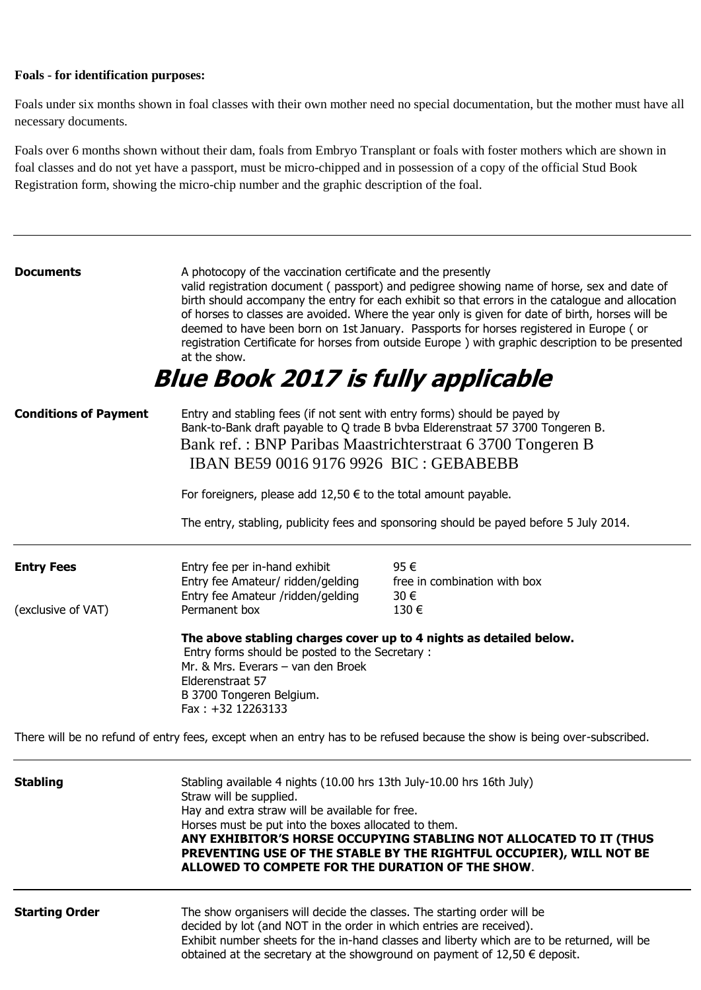#### **Foals - for identification purposes:**

Foals under six months shown in foal classes with their own mother need no special documentation, but the mother must have all necessary documents.

Foals over 6 months shown without their dam, foals from Embryo Transplant or foals with foster mothers which are shown in foal classes and do not yet have a passport, must be micro-chipped and in possession of a copy of the official Stud Book Registration form, showing the micro-chip number and the graphic description of the foal.

| <b>Documents</b>                                                                                                                                                                                                                                                                                      | A photocopy of the vaccination certificate and the presently<br>at the show.<br><b>Blue Book 2017 is fully applicable</b>                                                                                                                                                                                                                                                                                    | valid registration document (passport) and pedigree showing name of horse, sex and date of<br>birth should accompany the entry for each exhibit so that errors in the catalogue and allocation<br>of horses to classes are avoided. Where the year only is given for date of birth, horses will be<br>deemed to have been born on 1st January. Passports for horses registered in Europe (or<br>registration Certificate for horses from outside Europe ) with graphic description to be presented |
|-------------------------------------------------------------------------------------------------------------------------------------------------------------------------------------------------------------------------------------------------------------------------------------------------------|--------------------------------------------------------------------------------------------------------------------------------------------------------------------------------------------------------------------------------------------------------------------------------------------------------------------------------------------------------------------------------------------------------------|----------------------------------------------------------------------------------------------------------------------------------------------------------------------------------------------------------------------------------------------------------------------------------------------------------------------------------------------------------------------------------------------------------------------------------------------------------------------------------------------------|
| Entry and stabling fees (if not sent with entry forms) should be payed by<br><b>Conditions of Payment</b><br>Bank-to-Bank draft payable to Q trade B bvba Elderenstraat 57 3700 Tongeren B.<br>Bank ref.: BNP Paribas Maastrichterstraat 6 3700 Tongeren B<br>IBAN BE59 0016 9176 9926 BIC : GEBABEBB |                                                                                                                                                                                                                                                                                                                                                                                                              |                                                                                                                                                                                                                                                                                                                                                                                                                                                                                                    |
|                                                                                                                                                                                                                                                                                                       | For foreigners, please add $12,50 \in \mathfrak{t}$ to the total amount payable.                                                                                                                                                                                                                                                                                                                             |                                                                                                                                                                                                                                                                                                                                                                                                                                                                                                    |
|                                                                                                                                                                                                                                                                                                       |                                                                                                                                                                                                                                                                                                                                                                                                              | The entry, stabling, publicity fees and sponsoring should be payed before 5 July 2014.                                                                                                                                                                                                                                                                                                                                                                                                             |
| <b>Entry Fees</b><br>(exclusive of VAT)                                                                                                                                                                                                                                                               | Entry fee per in-hand exhibit<br>Entry fee Amateur/ ridden/gelding<br>Entry fee Amateur /ridden/gelding<br>Permanent box                                                                                                                                                                                                                                                                                     | 95€<br>free in combination with box<br>30€<br>130€                                                                                                                                                                                                                                                                                                                                                                                                                                                 |
|                                                                                                                                                                                                                                                                                                       | The above stabling charges cover up to 4 nights as detailed below.<br>Entry forms should be posted to the Secretary :<br>Mr. & Mrs. Everars - van den Broek<br>Elderenstraat 57<br>B 3700 Tongeren Belgium.<br>Fax: +32 12263133                                                                                                                                                                             |                                                                                                                                                                                                                                                                                                                                                                                                                                                                                                    |
|                                                                                                                                                                                                                                                                                                       |                                                                                                                                                                                                                                                                                                                                                                                                              | There will be no refund of entry fees, except when an entry has to be refused because the show is being over-subscribed.                                                                                                                                                                                                                                                                                                                                                                           |
| <b>Stabling</b>                                                                                                                                                                                                                                                                                       | Stabling available 4 nights (10.00 hrs 13th July-10.00 hrs 16th July)<br>Straw will be supplied.<br>Hay and extra straw will be available for free.<br>Horses must be put into the boxes allocated to them.<br>ANY EXHIBITOR'S HORSE OCCUPYING STABLING NOT ALLOCATED TO IT (THUS<br>PREVENTING USE OF THE STABLE BY THE RIGHTFUL OCCUPIER), WILL NOT BE<br>ALLOWED TO COMPETE FOR THE DURATION OF THE SHOW. |                                                                                                                                                                                                                                                                                                                                                                                                                                                                                                    |
| <b>Starting Order</b>                                                                                                                                                                                                                                                                                 | The show organisers will decide the classes. The starting order will be<br>decided by lot (and NOT in the order in which entries are received).<br>Exhibit number sheets for the in-hand classes and liberty which are to be returned, will be<br>obtained at the secretary at the showground on payment of $12,50 \in$ deposit.                                                                             |                                                                                                                                                                                                                                                                                                                                                                                                                                                                                                    |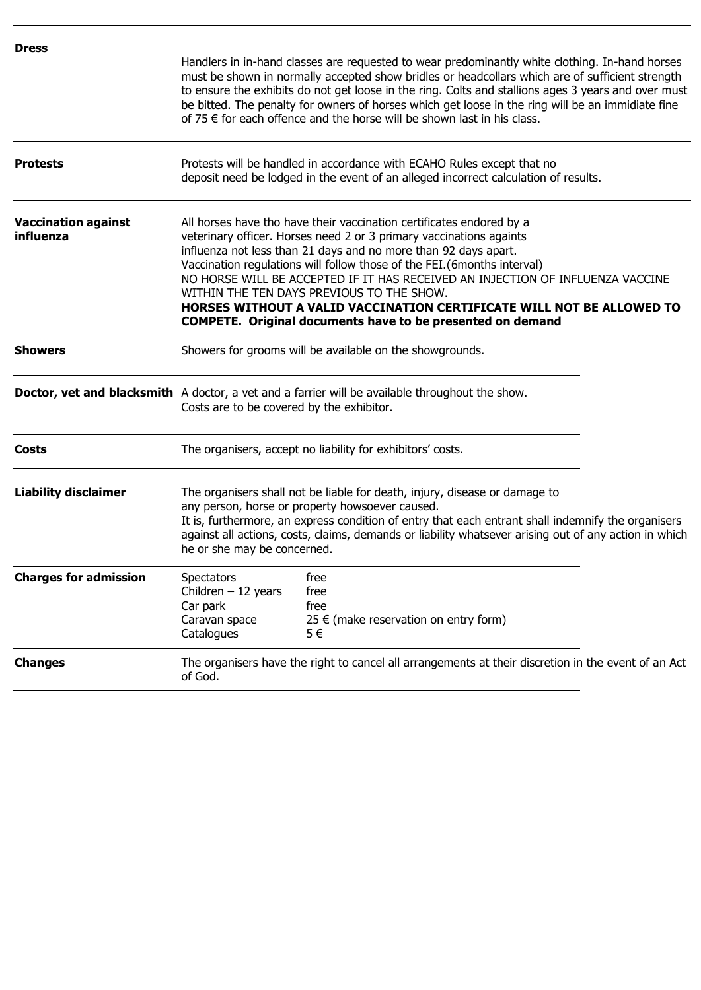| <b>Dress</b>                            | Handlers in in-hand classes are requested to wear predominantly white clothing. In-hand horses<br>must be shown in normally accepted show bridles or headcollars which are of sufficient strength<br>to ensure the exhibits do not get loose in the ring. Colts and stallions ages 3 years and over must<br>be bitted. The penalty for owners of horses which get loose in the ring will be an immidiate fine<br>of 75 $\epsilon$ for each offence and the horse will be shown last in his class.                                                                      |                                                                     |  |
|-----------------------------------------|------------------------------------------------------------------------------------------------------------------------------------------------------------------------------------------------------------------------------------------------------------------------------------------------------------------------------------------------------------------------------------------------------------------------------------------------------------------------------------------------------------------------------------------------------------------------|---------------------------------------------------------------------|--|
| <b>Protests</b>                         | Protests will be handled in accordance with ECAHO Rules except that no<br>deposit need be lodged in the event of an alleged incorrect calculation of results.                                                                                                                                                                                                                                                                                                                                                                                                          |                                                                     |  |
| <b>Vaccination against</b><br>influenza | All horses have tho have their vaccination certificates endored by a<br>veterinary officer. Horses need 2 or 3 primary vaccinations againts<br>influenza not less than 21 days and no more than 92 days apart.<br>Vaccination regulations will follow those of the FEI.(6months interval)<br>NO HORSE WILL BE ACCEPTED IF IT HAS RECEIVED AN INJECTION OF INFLUENZA VACCINE<br>WITHIN THE TEN DAYS PREVIOUS TO THE SHOW.<br>HORSES WITHOUT A VALID VACCINATION CERTIFICATE WILL NOT BE ALLOWED TO<br><b>COMPETE.</b> Original documents have to be presented on demand |                                                                     |  |
| <b>Showers</b>                          | Showers for grooms will be available on the showgrounds.                                                                                                                                                                                                                                                                                                                                                                                                                                                                                                               |                                                                     |  |
|                                         | <b>Doctor, vet and blacksmith</b> A doctor, a vet and a farrier will be available throughout the show.<br>Costs are to be covered by the exhibitor.                                                                                                                                                                                                                                                                                                                                                                                                                    |                                                                     |  |
| Costs                                   | The organisers, accept no liability for exhibitors' costs.                                                                                                                                                                                                                                                                                                                                                                                                                                                                                                             |                                                                     |  |
| <b>Liability disclaimer</b>             | The organisers shall not be liable for death, injury, disease or damage to<br>any person, horse or property howsoever caused.<br>It is, furthermore, an express condition of entry that each entrant shall indemnify the organisers<br>against all actions, costs, claims, demands or liability whatsever arising out of any action in which<br>he or she may be concerned.                                                                                                                                                                                            |                                                                     |  |
| <b>Charges for admission</b>            | <b>Spectators</b><br>Children $-12$ years<br>Car park<br>Caravan space<br>Catalogues                                                                                                                                                                                                                                                                                                                                                                                                                                                                                   | free<br>free<br>free<br>25 € (make reservation on entry form)<br>5€ |  |
| <b>Changes</b>                          | The organisers have the right to cancel all arrangements at their discretion in the event of an Act<br>of God.                                                                                                                                                                                                                                                                                                                                                                                                                                                         |                                                                     |  |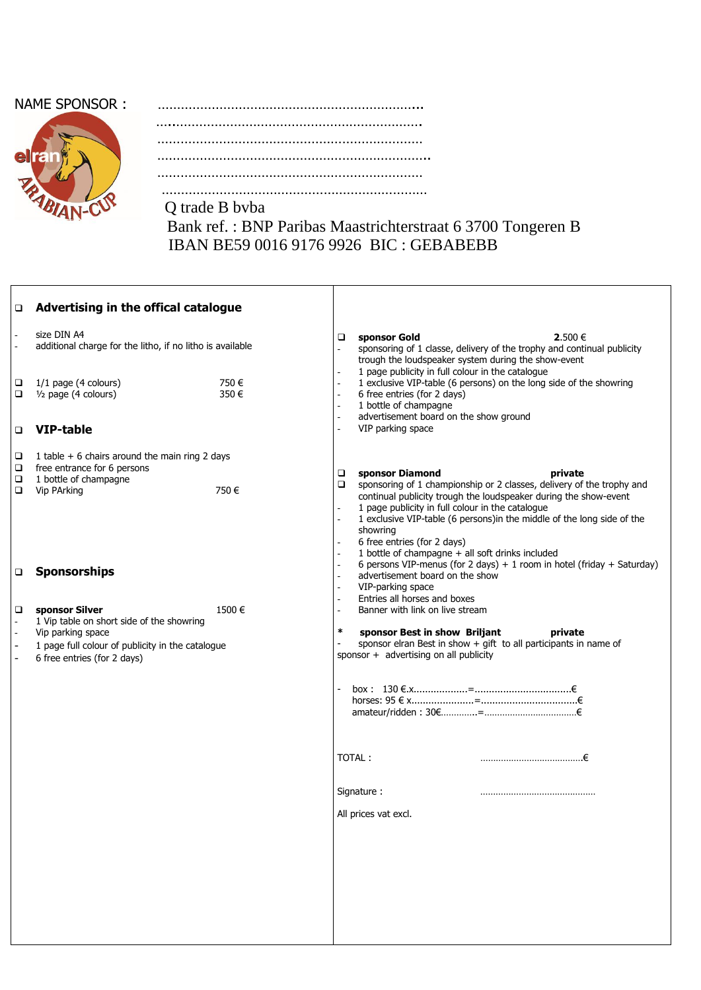## NAME SPONSOR :



| NAME SPONSOR : |  |
|----------------|--|
|                |  |
|                |  |
|                |  |
|                |  |
|                |  |

 Bank ref. : BNP Paribas Maastrichterstraat 6 3700 Tongeren B IBAN BE59 0016 9176 9926 BIC : GEBABEBB

| □                | Advertising in the offical catalogue                                                                                                                                |              |                                                                                                                                                                                                                                                                                                                                                                                                                                                                                                                                                                |
|------------------|---------------------------------------------------------------------------------------------------------------------------------------------------------------------|--------------|----------------------------------------------------------------------------------------------------------------------------------------------------------------------------------------------------------------------------------------------------------------------------------------------------------------------------------------------------------------------------------------------------------------------------------------------------------------------------------------------------------------------------------------------------------------|
|                  | size DIN A4<br>additional charge for the litho, if no litho is available                                                                                            |              | 2.500 €<br>□<br>sponsor Gold<br>sponsoring of 1 classe, delivery of the trophy and continual publicity<br>$\frac{1}{2}$<br>trough the loudspeaker system during the show-event<br>1 page publicity in full colour in the catalogue                                                                                                                                                                                                                                                                                                                             |
| ❏<br>□           | 1/1 page (4 colours)<br>1/ <sub>2</sub> page (4 colours)                                                                                                            | 750€<br>350€ | 1 exclusive VIP-table (6 persons) on the long side of the showring<br>$\bar{\phantom{a}}$<br>6 free entries (for 2 days)<br>1 bottle of champagne<br>advertisement board on the show ground<br>$\overline{\phantom{a}}$                                                                                                                                                                                                                                                                                                                                        |
| □                | <b>VIP-table</b>                                                                                                                                                    |              | VIP parking space<br>L.                                                                                                                                                                                                                                                                                                                                                                                                                                                                                                                                        |
| □<br>□<br>□<br>▫ | 1 table $+$ 6 chairs around the main ring 2 days<br>free entrance for 6 persons<br>1 bottle of champagne<br>Vip PArking                                             | 750€         | sponsor Diamond<br>□<br>private<br>sponsoring of 1 championship or 2 classes, delivery of the trophy and<br>▫<br>continual publicity trough the loudspeaker during the show-event<br>1 page publicity in full colour in the catalogue<br>1 exclusive VIP-table (6 persons) in the middle of the long side of the<br>$\overline{a}$<br>showring<br>6 free entries (for 2 days)<br>1 bottle of champagne + all soft drinks included<br>$\bar{\phantom{a}}$<br>6 persons VIP-menus (for 2 days) + 1 room in hotel (friday + Saturday)<br>$\overline{\phantom{a}}$ |
| $\Box$           | <b>Sponsorships</b>                                                                                                                                                 |              | advertisement board on the show<br>VIP-parking space<br>$\overline{\phantom{a}}$<br>Entries all horses and boxes                                                                                                                                                                                                                                                                                                                                                                                                                                               |
| $\Box$           | sponsor Silver<br>1 Vip table on short side of the showring<br>Vip parking space<br>1 page full colour of publicity in the catalogue<br>6 free entries (for 2 days) | 1500€        | Banner with link on live stream<br>$\pmb{\ast}$<br>sponsor Best in show Briljant<br>private<br>sponsor elran Best in show $+$ gift to all participants in name of<br>sponsor + advertising on all publicity                                                                                                                                                                                                                                                                                                                                                    |
|                  |                                                                                                                                                                     |              | TOTAL:<br>…………………………………€                                                                                                                                                                                                                                                                                                                                                                                                                                                                                                                                       |
|                  |                                                                                                                                                                     |              | Signature:<br>All prices vat excl.                                                                                                                                                                                                                                                                                                                                                                                                                                                                                                                             |
|                  |                                                                                                                                                                     |              |                                                                                                                                                                                                                                                                                                                                                                                                                                                                                                                                                                |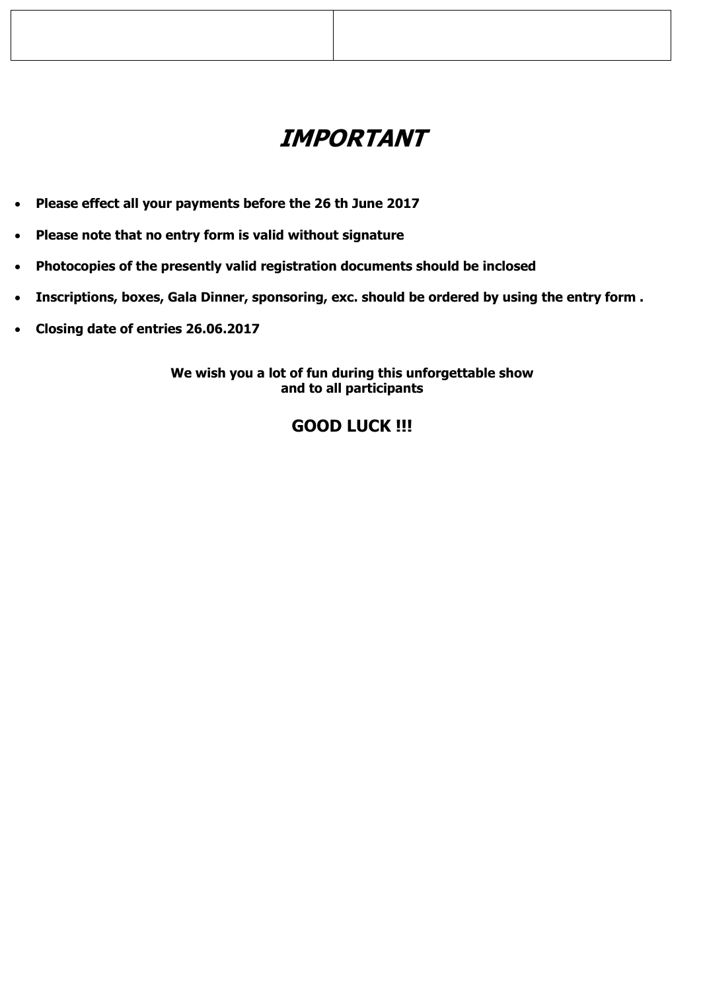# **IMPORTANT**

- **Please effect all your payments before the 26 th June 2017**
- **Please note that no entry form is valid without signature**
- **Photocopies of the presently valid registration documents should be inclosed**
- **Inscriptions, boxes, Gala Dinner, sponsoring, exc. should be ordered by using the entry form .**
- **Closing date of entries 26.06.2017**

**We wish you a lot of fun during this unforgettable show and to all participants**

# **GOOD LUCK !!!**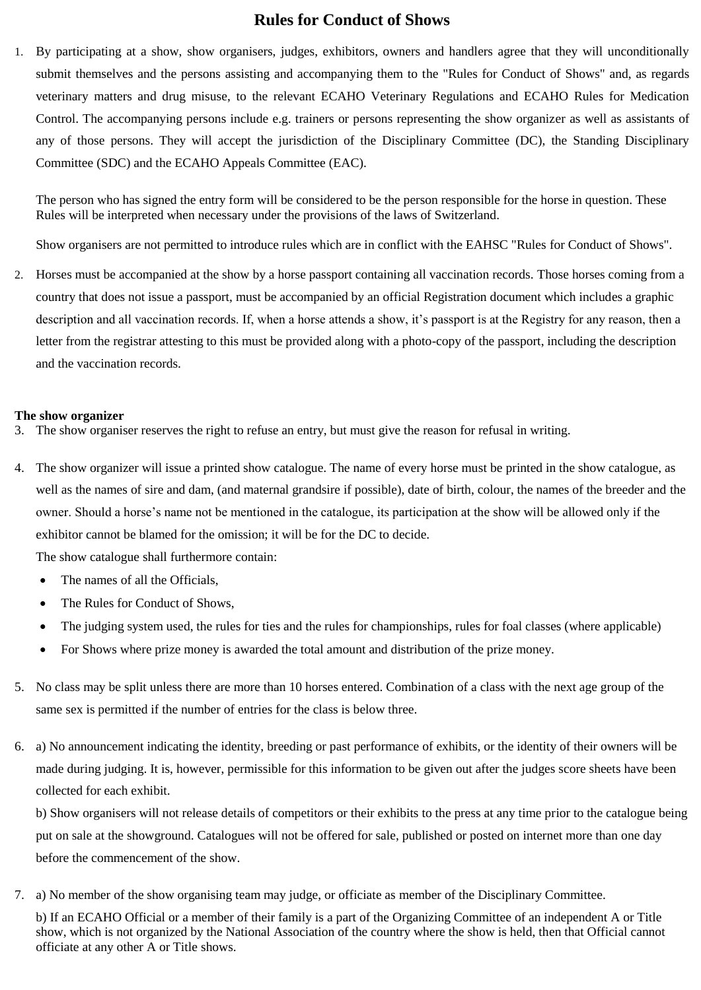### **Rules for Conduct of Shows**

1. By participating at a show, show organisers, judges, exhibitors, owners and handlers agree that they will unconditionally submit themselves and the persons assisting and accompanying them to the "Rules for Conduct of Shows" and, as regards veterinary matters and drug misuse, to the relevant ECAHO Veterinary Regulations and ECAHO Rules for Medication Control. The accompanying persons include e.g. trainers or persons representing the show organizer as well as assistants of any of those persons. They will accept the jurisdiction of the Disciplinary Committee (DC), the Standing Disciplinary Committee (SDC) and the ECAHO Appeals Committee (EAC).

The person who has signed the entry form will be considered to be the person responsible for the horse in question. These Rules will be interpreted when necessary under the provisions of the laws of Switzerland.

Show organisers are not permitted to introduce rules which are in conflict with the EAHSC "Rules for Conduct of Shows".

2. Horses must be accompanied at the show by a horse passport containing all vaccination records. Those horses coming from a country that does not issue a passport, must be accompanied by an official Registration document which includes a graphic description and all vaccination records. If, when a horse attends a show, it's passport is at the Registry for any reason, then a letter from the registrar attesting to this must be provided along with a photo-copy of the passport, including the description and the vaccination records.

#### **The show organizer**

- 3. The show organiser reserves the right to refuse an entry, but must give the reason for refusal in writing.
- 4. The show organizer will issue a printed show catalogue. The name of every horse must be printed in the show catalogue, as well as the names of sire and dam, (and maternal grandsire if possible), date of birth, colour, the names of the breeder and the owner. Should a horse's name not be mentioned in the catalogue, its participation at the show will be allowed only if the exhibitor cannot be blamed for the omission; it will be for the DC to decide.

The show catalogue shall furthermore contain:

- The names of all the Officials,
- The Rules for Conduct of Shows,
- The judging system used, the rules for ties and the rules for championships, rules for foal classes (where applicable)
- For Shows where prize money is awarded the total amount and distribution of the prize money.
- 5. No class may be split unless there are more than 10 horses entered. Combination of a class with the next age group of the same sex is permitted if the number of entries for the class is below three.
- 6. a) No announcement indicating the identity, breeding or past performance of exhibits, or the identity of their owners will be made during judging. It is, however, permissible for this information to be given out after the judges score sheets have been collected for each exhibit.

b) Show organisers will not release details of competitors or their exhibits to the press at any time prior to the catalogue being put on sale at the showground. Catalogues will not be offered for sale, published or posted on internet more than one day before the commencement of the show.

7. a) No member of the show organising team may judge, or officiate as member of the Disciplinary Committee.

b) If an ECAHO Official or a member of their family is a part of the Organizing Committee of an independent A or Title show, which is not organized by the National Association of the country where the show is held, then that Official cannot officiate at any other A or Title shows.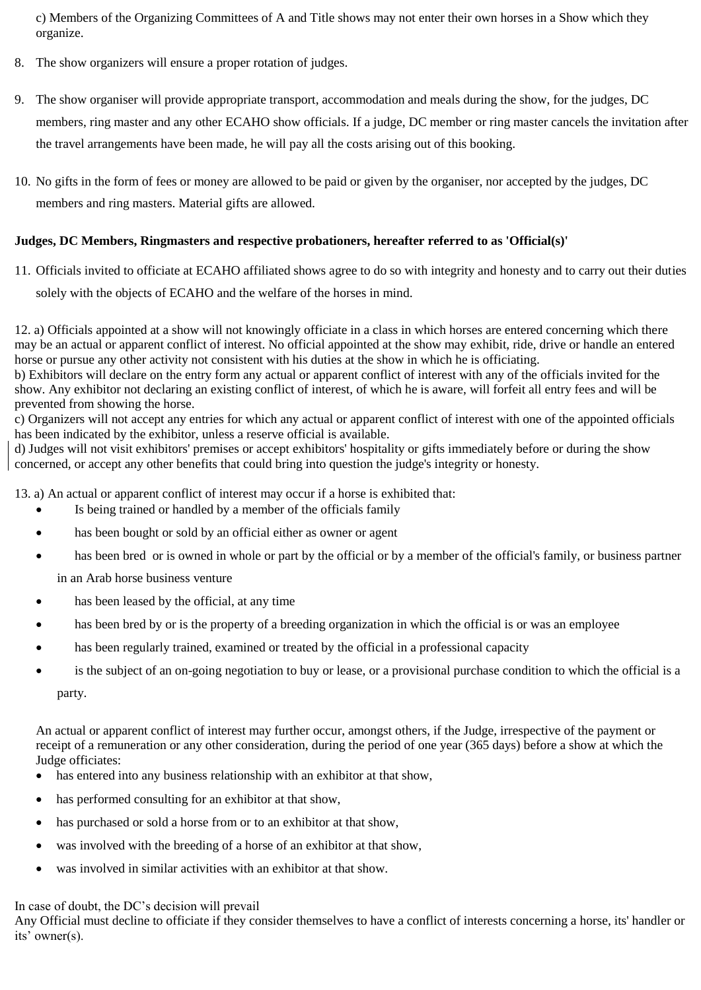c) Members of the Organizing Committees of A and Title shows may not enter their own horses in a Show which they organize.

- 8. The show organizers will ensure a proper rotation of judges.
- 9. The show organiser will provide appropriate transport, accommodation and meals during the show, for the judges, DC members, ring master and any other ECAHO show officials. If a judge, DC member or ring master cancels the invitation after the travel arrangements have been made, he will pay all the costs arising out of this booking.
- 10. No gifts in the form of fees or money are allowed to be paid or given by the organiser, nor accepted by the judges, DC members and ring masters. Material gifts are allowed.

#### **Judges, DC Members, Ringmasters and respective probationers, hereafter referred to as 'Official(s)'**

11. Officials invited to officiate at ECAHO affiliated shows agree to do so with integrity and honesty and to carry out their duties solely with the objects of ECAHO and the welfare of the horses in mind.

12. a) Officials appointed at a show will not knowingly officiate in a class in which horses are entered concerning which there may be an actual or apparent conflict of interest. No official appointed at the show may exhibit, ride, drive or handle an entered horse or pursue any other activity not consistent with his duties at the show in which he is officiating.

b) Exhibitors will declare on the entry form any actual or apparent conflict of interest with any of the officials invited for the show. Any exhibitor not declaring an existing conflict of interest, of which he is aware, will forfeit all entry fees and will be prevented from showing the horse.

c) Organizers will not accept any entries for which any actual or apparent conflict of interest with one of the appointed officials has been indicated by the exhibitor, unless a reserve official is available.

d) Judges will not visit exhibitors' premises or accept exhibitors' hospitality or gifts immediately before or during the show concerned, or accept any other benefits that could bring into question the judge's integrity or honesty.

13. a) An actual or apparent conflict of interest may occur if a horse is exhibited that:

- Is being trained or handled by a member of the officials family
- has been bought or sold by an official either as owner or agent
- has been bred or is owned in whole or part by the official or by a member of the official's family, or business partner in an Arab horse business venture
- has been leased by the official, at any time
- has been bred by or is the property of a breeding organization in which the official is or was an employee
- has been regularly trained, examined or treated by the official in a professional capacity
- is the subject of an on-going negotiation to buy or lease, or a provisional purchase condition to which the official is a party.

An actual or apparent conflict of interest may further occur, amongst others, if the Judge, irrespective of the payment or receipt of a remuneration or any other consideration, during the period of one year (365 days) before a show at which the Judge officiates:

- has entered into any business relationship with an exhibitor at that show,
- has performed consulting for an exhibitor at that show,
- has purchased or sold a horse from or to an exhibitor at that show,
- was involved with the breeding of a horse of an exhibitor at that show,
- was involved in similar activities with an exhibitor at that show.

In case of doubt, the DC's decision will prevail

Any Official must decline to officiate if they consider themselves to have a conflict of interests concerning a horse, its' handler or its' owner(s).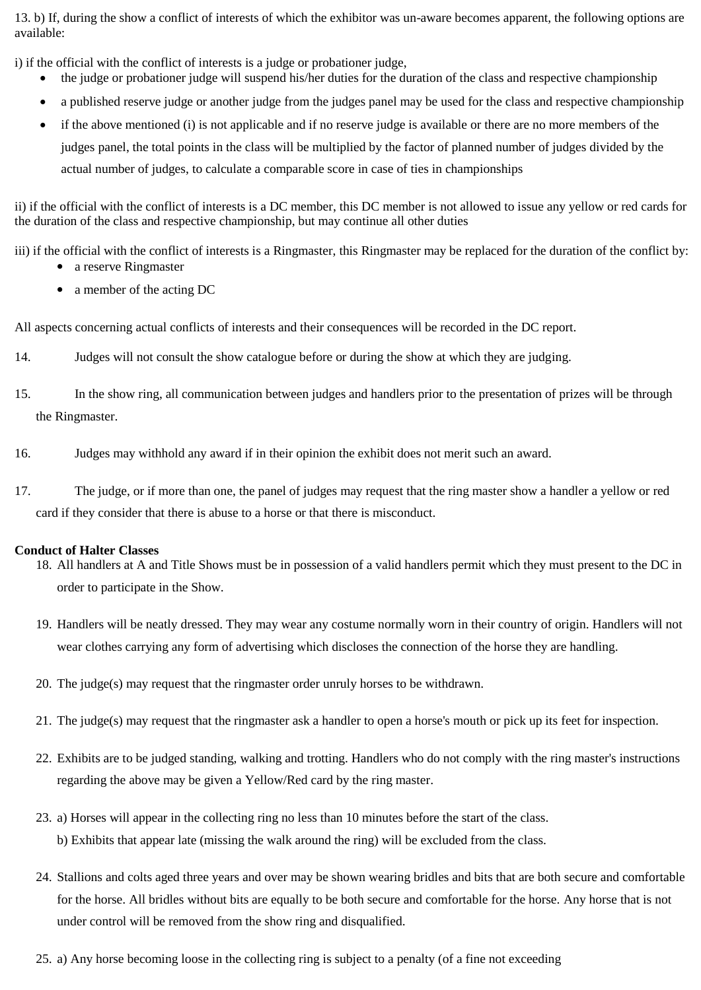13. b) If, during the show a conflict of interests of which the exhibitor was un-aware becomes apparent, the following options are available:

i) if the official with the conflict of interests is a judge or probationer judge,

- the judge or probationer judge will suspend his/her duties for the duration of the class and respective championship
- a published reserve judge or another judge from the judges panel may be used for the class and respective championship
- if the above mentioned (i) is not applicable and if no reserve judge is available or there are no more members of the judges panel, the total points in the class will be multiplied by the factor of planned number of judges divided by the actual number of judges, to calculate a comparable score in case of ties in championships

ii) if the official with the conflict of interests is a DC member, this DC member is not allowed to issue any yellow or red cards for the duration of the class and respective championship, but may continue all other duties

iii) if the official with the conflict of interests is a Ringmaster, this Ringmaster may be replaced for the duration of the conflict by:

- a reserve Ringmaster
- a member of the acting DC

All aspects concerning actual conflicts of interests and their consequences will be recorded in the DC report.

- 14. Judges will not consult the show catalogue before or during the show at which they are judging.
- 15. In the show ring, all communication between judges and handlers prior to the presentation of prizes will be through the Ringmaster.
- 16. Judges may withhold any award if in their opinion the exhibit does not merit such an award.
- 17. The judge, or if more than one, the panel of judges may request that the ring master show a handler a yellow or red card if they consider that there is abuse to a horse or that there is misconduct.

#### **Conduct of Halter Classes**

- 18. All handlers at A and Title Shows must be in possession of a valid handlers permit which they must present to the DC in order to participate in the Show.
- 19. Handlers will be neatly dressed. They may wear any costume normally worn in their country of origin. Handlers will not wear clothes carrying any form of advertising which discloses the connection of the horse they are handling.
- 20. The judge(s) may request that the ringmaster order unruly horses to be withdrawn.
- 21. The judge(s) may request that the ringmaster ask a handler to open a horse's mouth or pick up its feet for inspection.
- 22. Exhibits are to be judged standing, walking and trotting. Handlers who do not comply with the ring master's instructions regarding the above may be given a Yellow/Red card by the ring master.
- 23. a) Horses will appear in the collecting ring no less than 10 minutes before the start of the class. b) Exhibits that appear late (missing the walk around the ring) will be excluded from the class.
- 24. Stallions and colts aged three years and over may be shown wearing bridles and bits that are both secure and comfortable for the horse. All bridles without bits are equally to be both secure and comfortable for the horse. Any horse that is not under control will be removed from the show ring and disqualified.
- 25. a) Any horse becoming loose in the collecting ring is subject to a penalty (of a fine not exceeding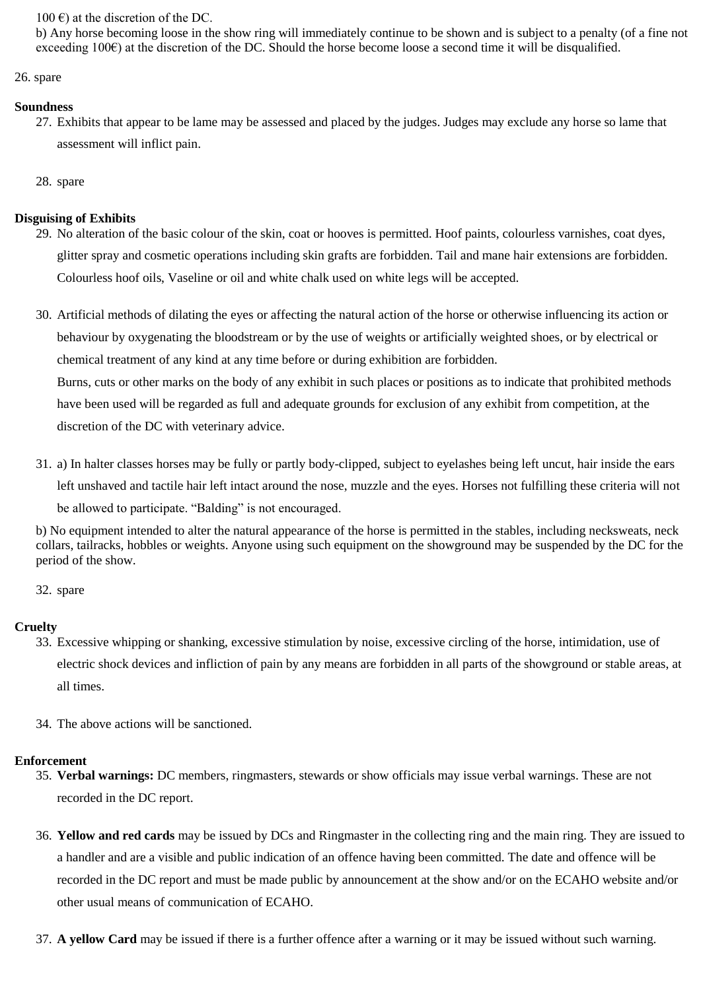100  $\epsilon$ ) at the discretion of the DC.

b) Any horse becoming loose in the show ring will immediately continue to be shown and is subject to a penalty (of a fine not exceeding  $100\epsilon$ ) at the discretion of the DC. Should the horse become loose a second time it will be disqualified.

26. spare

#### **Soundness**

27. Exhibits that appear to be lame may be assessed and placed by the judges. Judges may exclude any horse so lame that assessment will inflict pain.

28. spare

#### **Disguising of Exhibits**

- 29. No alteration of the basic colour of the skin, coat or hooves is permitted. Hoof paints, colourless varnishes, coat dyes, glitter spray and cosmetic operations including skin grafts are forbidden. Tail and mane hair extensions are forbidden. Colourless hoof oils, Vaseline or oil and white chalk used on white legs will be accepted.
- 30. Artificial methods of dilating the eyes or affecting the natural action of the horse or otherwise influencing its action or behaviour by oxygenating the bloodstream or by the use of weights or artificially weighted shoes, or by electrical or chemical treatment of any kind at any time before or during exhibition are forbidden.

Burns, cuts or other marks on the body of any exhibit in such places or positions as to indicate that prohibited methods have been used will be regarded as full and adequate grounds for exclusion of any exhibit from competition, at the discretion of the DC with veterinary advice.

31. a) In halter classes horses may be fully or partly body-clipped, subject to eyelashes being left uncut, hair inside the ears left unshaved and tactile hair left intact around the nose, muzzle and the eyes. Horses not fulfilling these criteria will not be allowed to participate. "Balding" is not encouraged.

b) No equipment intended to alter the natural appearance of the horse is permitted in the stables, including necksweats, neck collars, tailracks, hobbles or weights. Anyone using such equipment on the showground may be suspended by the DC for the period of the show.

32. spare

#### **Cruelty**

- 33. Excessive whipping or shanking, excessive stimulation by noise, excessive circling of the horse, intimidation, use of electric shock devices and infliction of pain by any means are forbidden in all parts of the showground or stable areas, at all times.
- 34. The above actions will be sanctioned.

#### **Enforcement**

- 35. **Verbal warnings:** DC members, ringmasters, stewards or show officials may issue verbal warnings. These are not recorded in the DC report.
- 36. **Yellow and red cards** may be issued by DCs and Ringmaster in the collecting ring and the main ring. They are issued to a handler and are a visible and public indication of an offence having been committed. The date and offence will be recorded in the DC report and must be made public by announcement at the show and/or on the ECAHO website and/or other usual means of communication of ECAHO.
- 37. **A yellow Card** may be issued if there is a further offence after a warning or it may be issued without such warning.